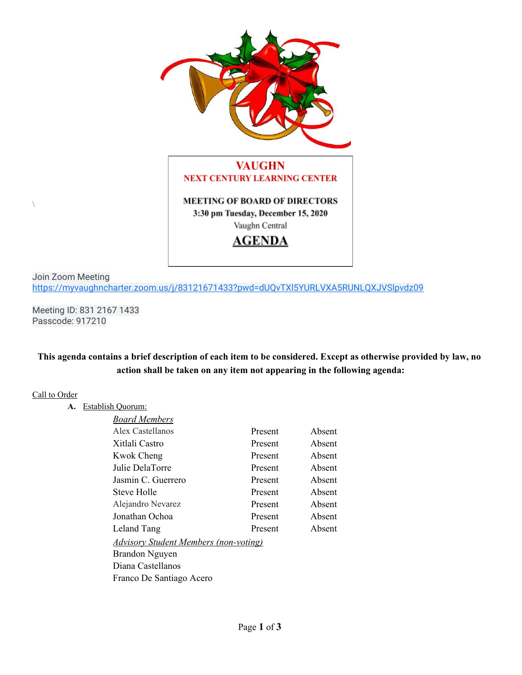

# **VAUGHN NEXT CENTURY LEARNING CENTER**

**MEETING OF BOARD OF DIRECTORS** 3:30 pm Tuesday, December 15, 2020 Vaughn Central



Join Zoom Meeting <https://myvaughncharter.zoom.us/j/83121671433?pwd=dUQvTXl5YURLVXA5RUNLQXJVSlpvdz09>

Meeting ID: 831 2167 1433 Passcode: 917210

#### This agenda contains a brief description of each item to be considered. Except as otherwise provided by law, no **action shall be taken on any item not appearing in the following agenda:**

#### Call to Order

 $\setminus$ 

**A.** Establish Quorum:

| <b>Board Members</b>                         |         |        |
|----------------------------------------------|---------|--------|
| Alex Castellanos                             | Present | Absent |
| Xitlali Castro                               | Present | Absent |
| Kwok Cheng                                   | Present | Absent |
| Julie DelaTorre                              | Present | Absent |
| Jasmin C. Guerrero                           | Present | Absent |
| <b>Steve Holle</b>                           | Present | Absent |
| Alejandro Nevarez                            | Present | Absent |
| Jonathan Ochoa                               | Present | Absent |
| Leland Tang                                  | Present | Absent |
| <u>Advisory Student Members (non-voting)</u> |         |        |
| Brandon Nguyen                               |         |        |
| Diana Castellanos                            |         |        |
| Franco De Santiago Acero                     |         |        |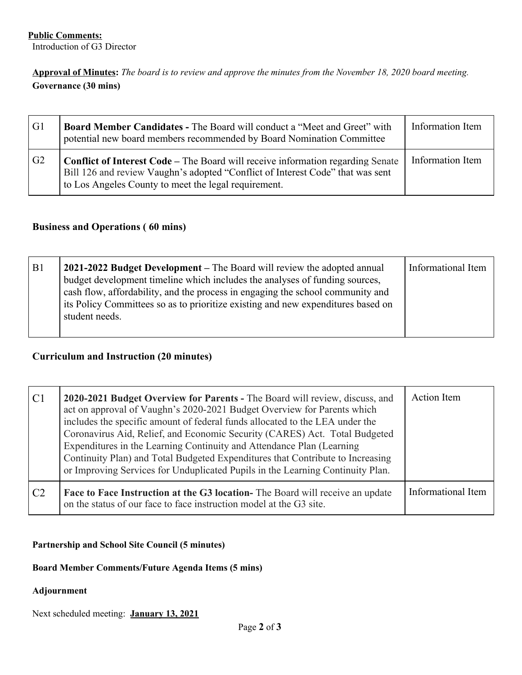Approval of Minutes: The board is to review and approve the minutes from the November 18, 2020 board meeting. **Governance (30 mins)**

| G1 | <b>Board Member Candidates - The Board will conduct a "Meet and Greet" with</b><br>potential new board members recommended by Board Nomination Committee                                                                  | Information Item |
|----|---------------------------------------------------------------------------------------------------------------------------------------------------------------------------------------------------------------------------|------------------|
| G2 | Conflict of Interest Code – The Board will receive information regarding Senate<br>Bill 126 and review Vaughn's adopted "Conflict of Interest Code" that was sent<br>to Los Angeles County to meet the legal requirement. | Information Item |

# **Business and Operations ( 60 mins)**

| B <sub>1</sub> | 2021-2022 Budget Development – The Board will review the adopted annual<br>budget development timeline which includes the analyses of funding sources,<br>cash flow, affordability, and the process in engaging the school community and<br>its Policy Committees so as to prioritize existing and new expenditures based on<br>student needs. | Informational Item |
|----------------|------------------------------------------------------------------------------------------------------------------------------------------------------------------------------------------------------------------------------------------------------------------------------------------------------------------------------------------------|--------------------|
|                |                                                                                                                                                                                                                                                                                                                                                |                    |

#### **Curriculum and Instruction (20 minutes)**

| C1 | 2020-2021 Budget Overview for Parents - The Board will review, discuss, and<br>act on approval of Vaughn's 2020-2021 Budget Overview for Parents which<br>includes the specific amount of federal funds allocated to the LEA under the<br>Coronavirus Aid, Relief, and Economic Security (CARES) Act. Total Budgeted<br>Expenditures in the Learning Continuity and Attendance Plan (Learning)<br>Continuity Plan) and Total Budgeted Expenditures that Contribute to Increasing<br>or Improving Services for Unduplicated Pupils in the Learning Continuity Plan. | <b>Action</b> Item |
|----|--------------------------------------------------------------------------------------------------------------------------------------------------------------------------------------------------------------------------------------------------------------------------------------------------------------------------------------------------------------------------------------------------------------------------------------------------------------------------------------------------------------------------------------------------------------------|--------------------|
| C2 | <b>Face to Face Instruction at the G3 location-</b> The Board will receive an update<br>on the status of our face to face instruction model at the G3 site.                                                                                                                                                                                                                                                                                                                                                                                                        | Informational Item |

#### **Partnership and School Site Council (5 minutes)**

# **Board Member Comments/Future Agenda Items (5 mins)**

# **Adjournment**

Next scheduled meeting: **January 13, 2021**